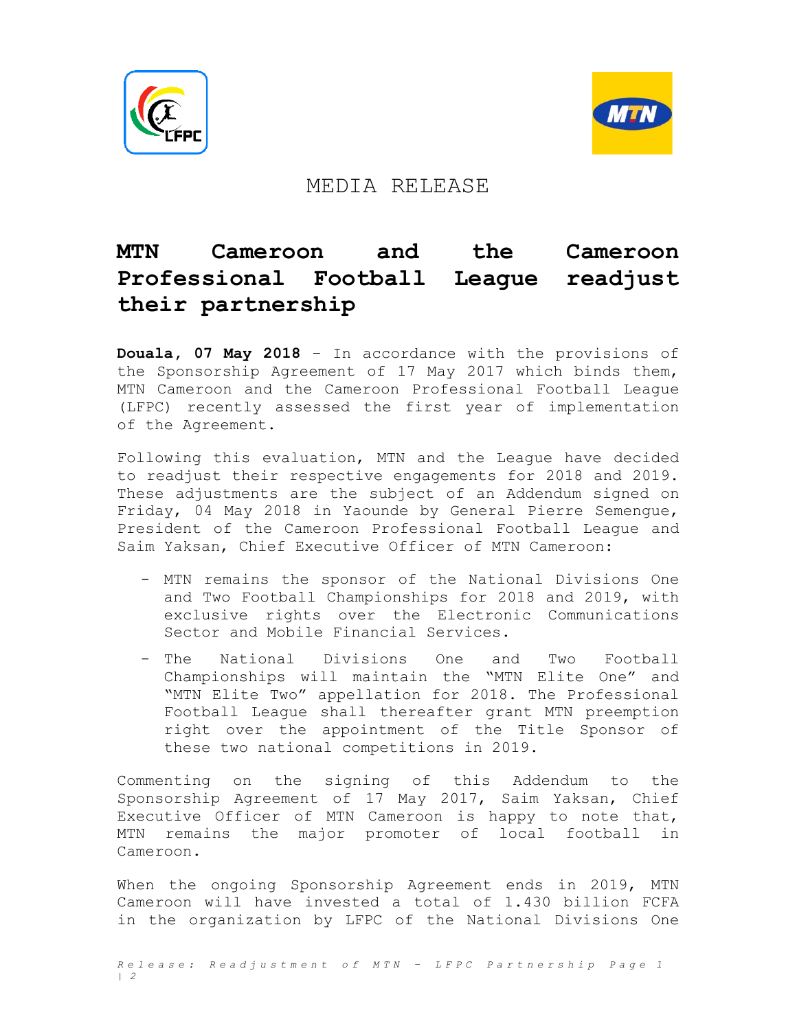



## MEDIA RELEASE

## **MTN Cameroon and the Cameroon Professional Football League readjust their partnership**

**Douala, 07 May 2018** – In accordance with the provisions of the Sponsorship Agreement of 17 May 2017 which binds them, MTN Cameroon and the Cameroon Professional Football League (LFPC) recently assessed the first year of implementation of the Agreement.

Following this evaluation, MTN and the League have decided to readjust their respective engagements for 2018 and 2019. These adjustments are the subject of an Addendum signed on Friday, 04 May 2018 in Yaounde by General Pierre Semengue, President of the Cameroon Professional Football League and Saim Yaksan, Chief Executive Officer of MTN Cameroon:

- MTN remains the sponsor of the National Divisions One and Two Football Championships for 2018 and 2019, with exclusive rights over the Electronic Communications Sector and Mobile Financial Services.
- The National Divisions One and Two Football Championships will maintain the "MTN Elite One" and "MTN Elite Two" appellation for 2018. The Professional Football League shall thereafter grant MTN preemption right over the appointment of the Title Sponsor of these two national competitions in 2019.

Commenting on the signing of this Addendum to the Sponsorship Agreement of 17 May 2017, Saim Yaksan, Chief Executive Officer of MTN Cameroon is happy to note that, MTN remains the major promoter of local football in Cameroon.

When the ongoing Sponsorship Agreement ends in 2019, MTN Cameroon will have invested a total of 1.430 billion FCFA in the organization by LFPC of the National Divisions One